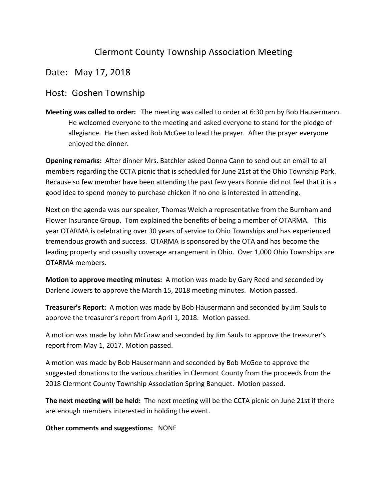## Clermont County Township Association Meeting

## Date: May 17, 2018

## Host: Goshen Township

**Meeting was called to order:** The meeting was called to order at 6:30 pm by Bob Hausermann. He welcomed everyone to the meeting and asked everyone to stand for the pledge of allegiance. He then asked Bob McGee to lead the prayer. After the prayer everyone enjoyed the dinner.

**Opening remarks:** After dinner Mrs. Batchler asked Donna Cann to send out an email to all members regarding the CCTA picnic that is scheduled for June 21st at the Ohio Township Park. Because so few member have been attending the past few years Bonnie did not feel that it is a good idea to spend money to purchase chicken if no one is interested in attending.

Next on the agenda was our speaker, Thomas Welch a representative from the Burnham and Flower Insurance Group. Tom explained the benefits of being a member of OTARMA. This year OTARMA is celebrating over 30 years of service to Ohio Townships and has experienced tremendous growth and success. OTARMA is sponsored by the OTA and has become the leading property and casualty coverage arrangement in Ohio. Over 1,000 Ohio Townships are OTARMA members. 

**Motion to approve meeting minutes:** A motion was made by Gary Reed and seconded by Darlene Jowers to approve the March 15, 2018 meeting minutes. Motion passed.

**Treasurer's Report:** A motion was made by Bob Hausermann and seconded by Jim Sauls to approve the treasurer's report from April 1, 2018. Motion passed.

A motion was made by John McGraw and seconded by Jim Sauls to approve the treasurer's report from May 1, 2017. Motion passed.

A motion was made by Bob Hausermann and seconded by Bob McGee to approve the suggested donations to the various charities in Clermont County from the proceeds from the 2018 Clermont County Township Association Spring Banquet. Motion passed.

**The next meeting will be held:** The next meeting will be the CCTA picnic on June 21st if there are enough members interested in holding the event.

**Other comments and suggestions: NONE**